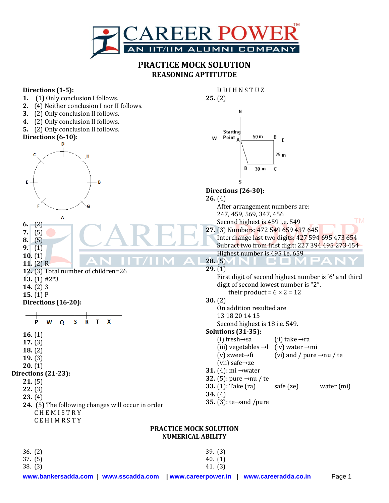

## **PRACTICE MOCK SOLUTION REASONING APTITUTDE**

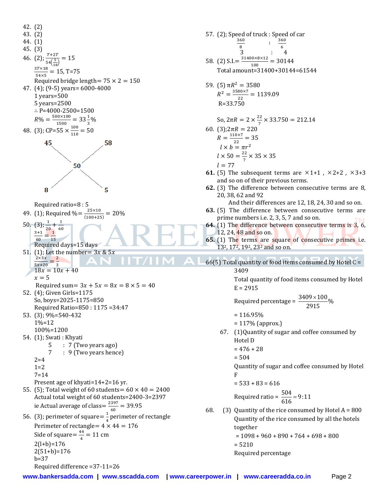